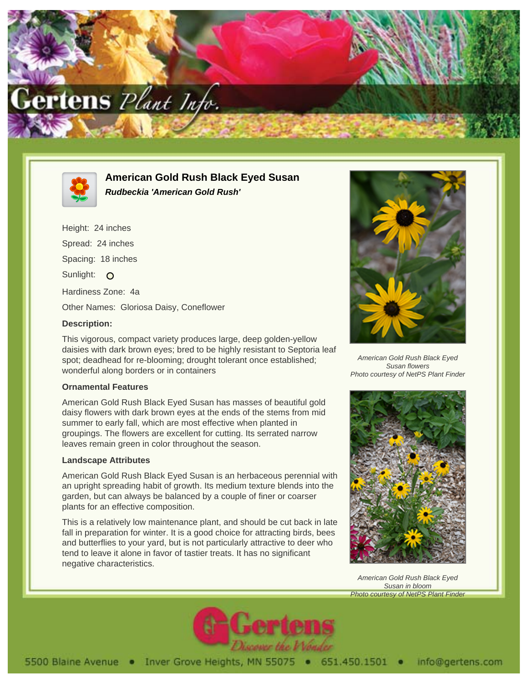



**American Gold Rush Black Eyed Susan Rudbeckia 'American Gold Rush'**

Height: 24 inches Spread: 24 inches Spacing: 18 inches Sunlight: O Hardiness Zone: 4a Other Names: Gloriosa Daisy, Coneflower

## **Description:**

This vigorous, compact variety produces large, deep golden-yellow daisies with dark brown eyes; bred to be highly resistant to Septoria leaf spot; deadhead for re-blooming; drought tolerant once established; wonderful along borders or in containers

## **Ornamental Features**

American Gold Rush Black Eyed Susan has masses of beautiful gold daisy flowers with dark brown eyes at the ends of the stems from mid summer to early fall, which are most effective when planted in groupings. The flowers are excellent for cutting. Its serrated narrow leaves remain green in color throughout the season.

## **Landscape Attributes**

American Gold Rush Black Eyed Susan is an herbaceous perennial with an upright spreading habit of growth. Its medium texture blends into the garden, but can always be balanced by a couple of finer or coarser plants for an effective composition.

This is a relatively low maintenance plant, and should be cut back in late fall in preparation for winter. It is a good choice for attracting birds, bees and butterflies to your yard, but is not particularly attractive to deer who tend to leave it alone in favor of tastier treats. It has no significant negative characteristics.



American Gold Rush Black Eyed Susan flowers Photo courtesy of NetPS Plant Finder



American Gold Rush Black Eyed Susan in bloom Photo courtesy of NetPS Plant Finder